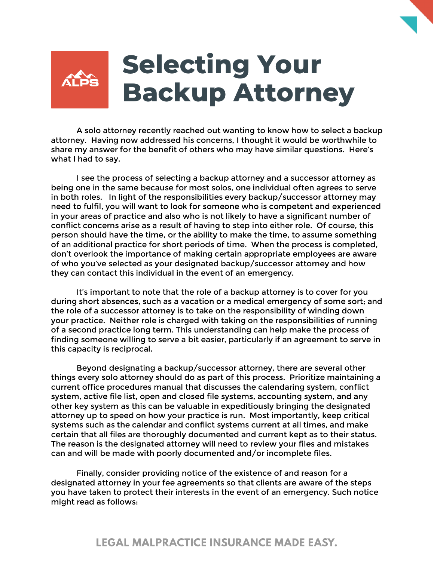

A solo attorney recently reached out wanting to know how to select a backup attorney. Having now addressed his concerns, I thought it would be worthwhile to share my answer for the benefit of others who may have similar questions. Here's what I had to say.

I see the process of selecting a backup attorney and a successor attorney as being one in the same because for most solos, one individual often agrees to serve in both roles. In light of the responsibilities every backup/successor attorney may need to fulfil, you will want to look for someone who is competent and experienced in your areas of practice and also who is not likely to have a significant number of conflict concerns arise as a result of having to step into either role. Of course, this person should have the time, or the ability to make the time, to assume something of an additional practice for short periods of time. When the process is completed, don't overlook the importance of making certain appropriate employees are aware of who you've selected as your designated backup/successor attorney and how they can contact this individual in the event of an emergency.

It's important to note that the role of a backup attorney is to cover for you during short absences, such as a vacation or a medical emergency of some sort; and the role of a successor attorney is to take on the responsibility of winding down your practice. Neither role is charged with taking on the responsibilities of running of a second practice long term. This understanding can help make the process of finding someone willing to serve a bit easier, particularly if an agreement to serve in this capacity is reciprocal.

Beyond designating a backup/successor attorney, there are several other things every solo attorney should do as part of this process. Prioritize maintaining a current office procedures manual that discusses the calendaring system, conflict system, active file list, open and closed file systems, accounting system, and any other key system as this can be valuable in expeditiously bringing the designated attorney up to speed on how your practice is run. Most importantly, keep critical systems such as the calendar and conflict systems current at all times, and make certain that all files are thoroughly documented and current kept as to their status. The reason is the designated attorney will need to review your files and mistakes can and will be made with poorly documented and/or incomplete files.

Finally, consider providing notice of the existence of and reason for a designated attorney in your fee agreements so that clients are aware of the steps you have taken to protect their interests in the event of an emergency. Such notice might read as follows: